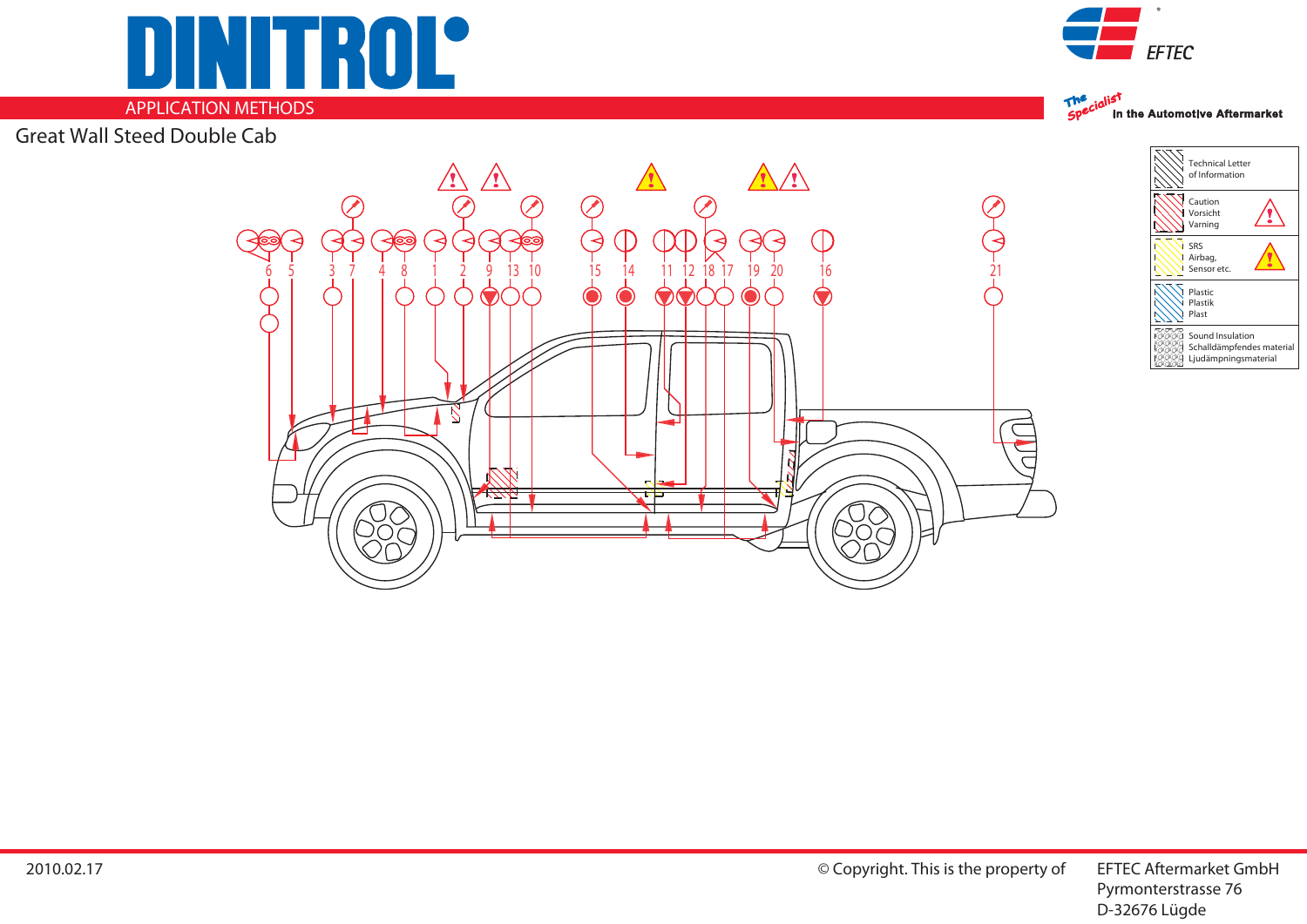

## **APPLICATION METHODS**

Great Wall Steed Double Cab







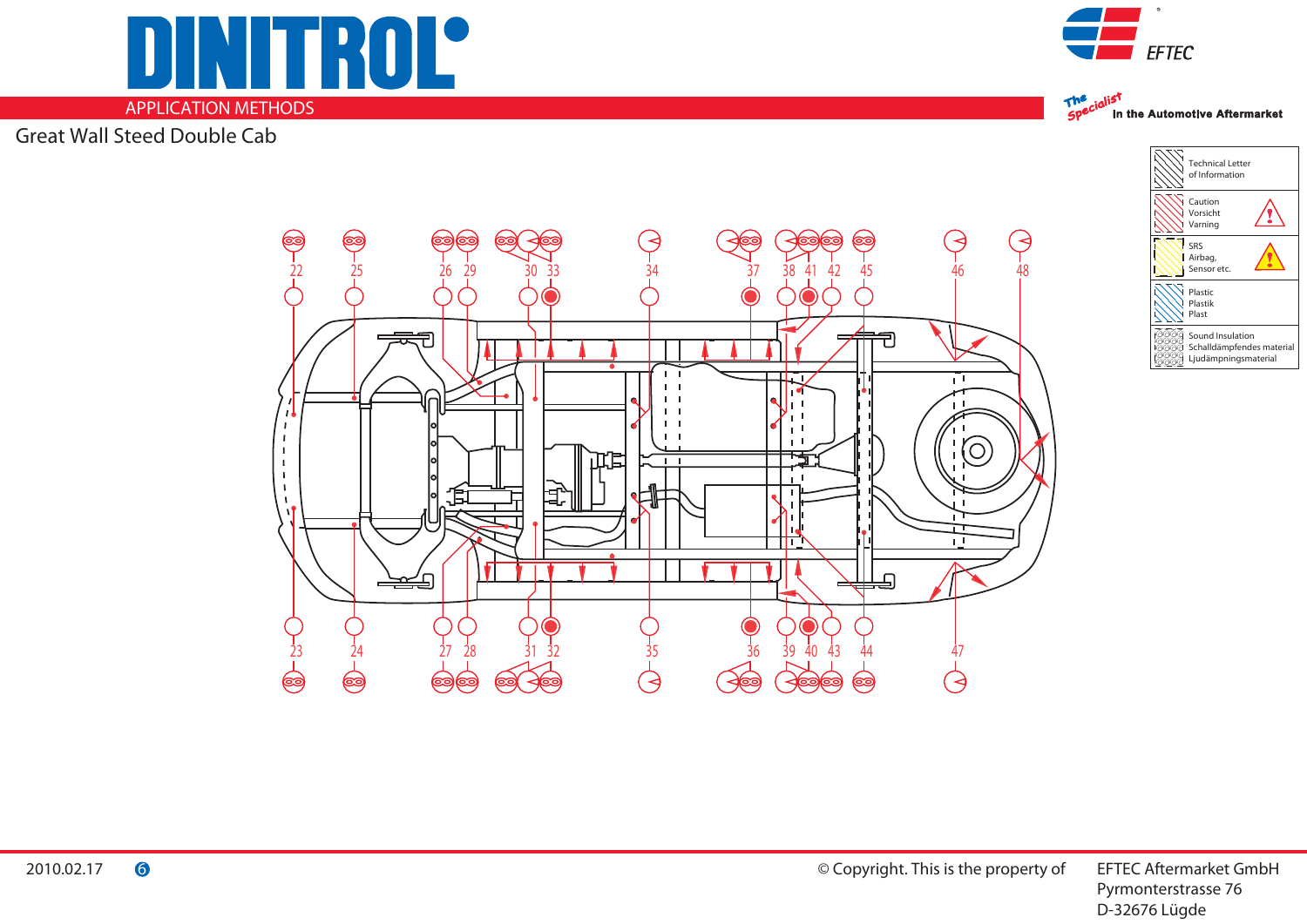**APPLICATION METHODS**

**ITROL®** 

Great Wall Steed Double Cab





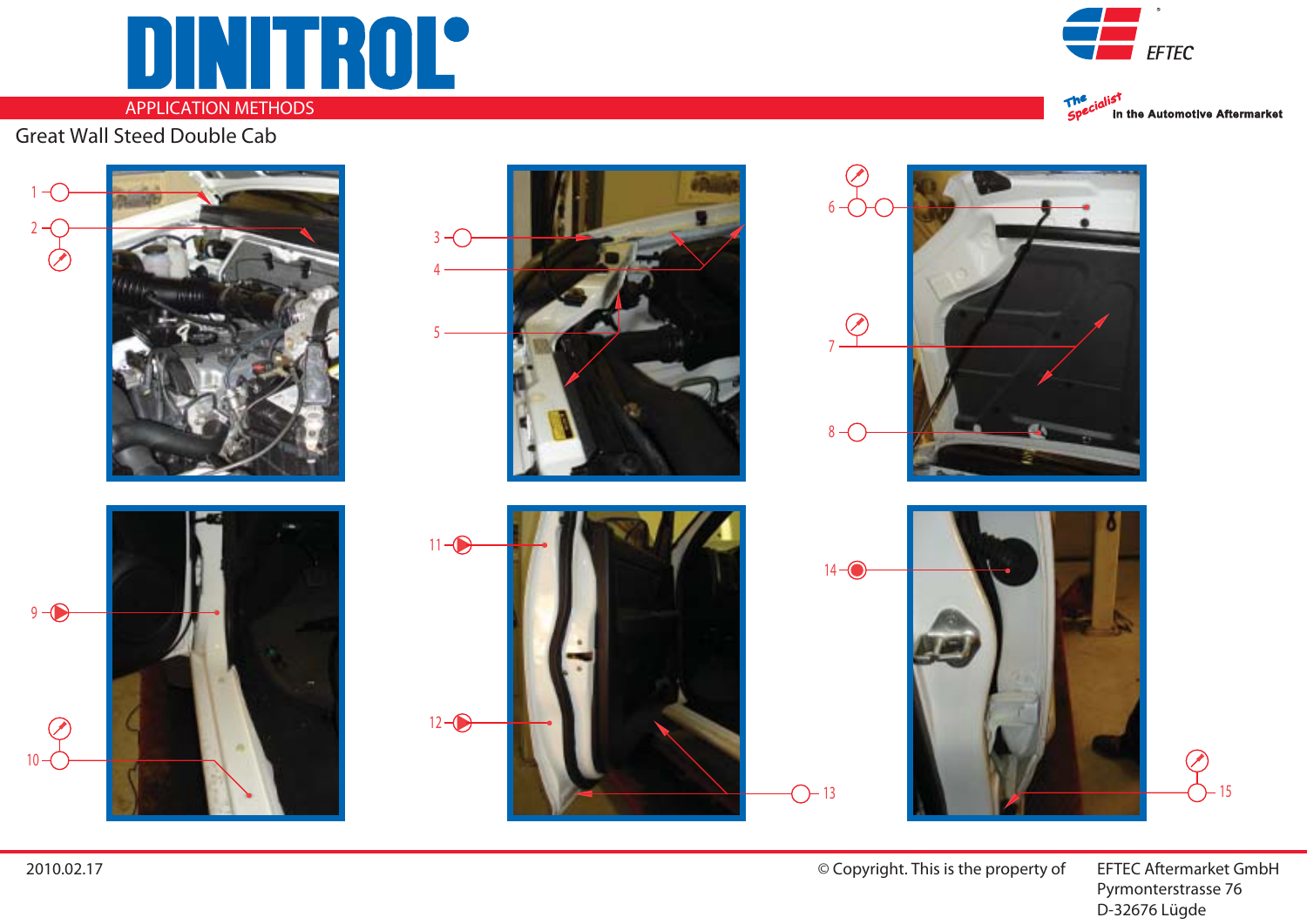## DINITROL

## **APPLICATION METHODS**

Great Wall Steed Double Cab







© Copyright. This is the property of **EFTEC Aftermarket GmbH** 

 Pyrmonterstrasse 76 D-32676 Lügde

2010.02.17

9

2